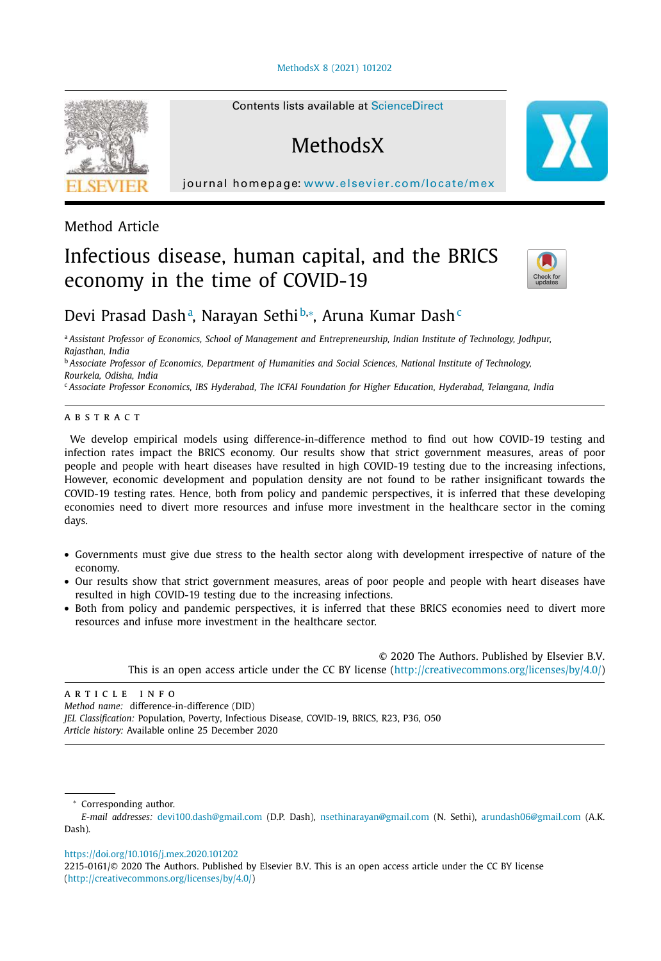#### MethodsX 8 (2021) 101202



### Method Article

# Infectious disease, human capital, and the BRICS economy in the time of COVID-19



## Devi Prasad Dashª, Narayan Sethi<sup>b,</sup>\*, Aruna Kumar Dash<sup>c</sup>

<sup>a</sup> *Assistant Professor of Economics, School of Management and Entrepreneurship, Indian Institute of Technology, Jodhpur, Rajasthan, India*

<sup>b</sup> *Associate Professor of Economics, Department of Humanities and Social Sciences, National Institute of Technology, Rourkela, Odisha, India*

<sup>c</sup> *Associate Professor Economics, IBS Hyderabad, The ICFAI Foundation for Higher Education, Hyderabad, Telangana, India*

#### a b s t r a c t

We develop empirical models using difference-in-difference method to find out how COVID-19 testing and infection rates impact the BRICS economy. Our results show that strict government measures, areas of poor people and people with heart diseases have resulted in high COVID-19 testing due to the increasing infections, However, economic development and population density are not found to be rather insignificant towards the COVID-19 testing rates. Hence, both from policy and pandemic perspectives, it is inferred that these developing economies need to divert more resources and infuse more investment in the healthcare sector in the coming days.

- Governments must give due stress to the health sector along with development irrespective of nature of the economy.
- Our results show that strict government measures, areas of poor people and people with heart diseases have resulted in high COVID-19 testing due to the increasing infections.
- Both from policy and pandemic perspectives, it is inferred that these BRICS economies need to divert more resources and infuse more investment in the healthcare sector.

© 2020 The Authors. Published by Elsevier B.V. This is an open access article under the CC BY license (http://creativecommons.org/licenses/by/4.0/)

ARTICLE INFO *Method name:* difference-in-difference (DID) *JEL Classification:* Population, Poverty, Infectious Disease, COVID-19, BRICS, R23, P36, O50 *Article history:* Available online 25 December 2020

<sup>∗</sup> Corresponding author.

https://doi.org/10.1016/j.mex.2020.101202

Contents lists available at ScienceDirect

**MethodsX** 

journal homepage: www.elsevier.com/locate/mex

*E-mail addresses:* devi100.dash@gmail.com (D.P. Dash), nsethinarayan@gmail.com (N. Sethi), arundash06@gmail.com (A.K. Dash).

<sup>2215-0161/© 2020</sup> The Authors. Published by Elsevier B.V. This is an open access article under the CC BY license (http://creativecommons.org/licenses/by/4.0/)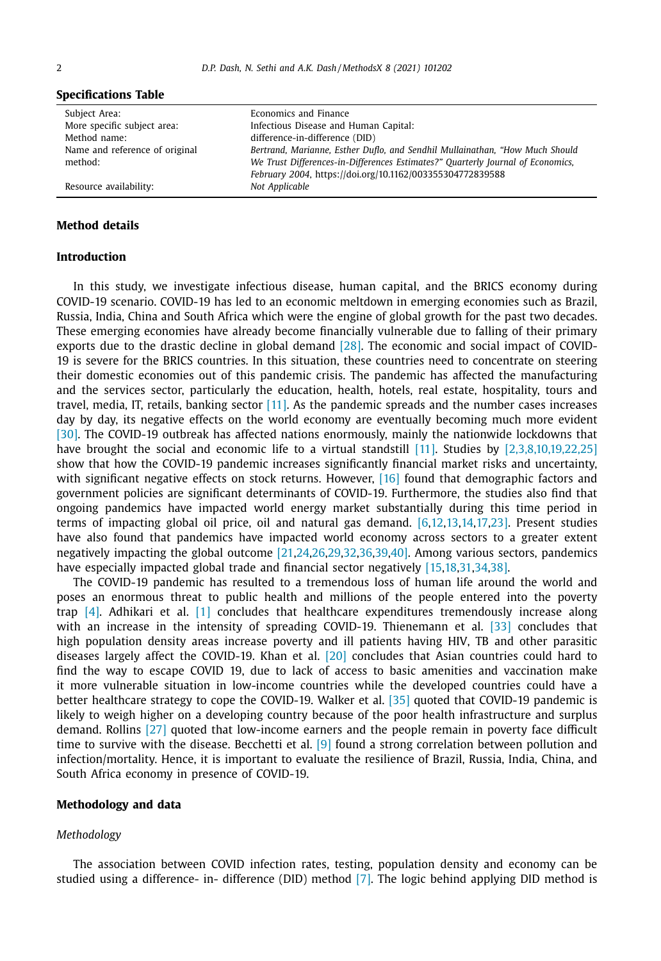| Subject Area:                  | Economics and Finance                                                           |
|--------------------------------|---------------------------------------------------------------------------------|
| More specific subject area:    | Infectious Disease and Human Capital:                                           |
| Method name:                   | difference-in-difference (DID)                                                  |
| Name and reference of original | Bertrand, Marianne, Esther Duflo, and Sendhil Mullainathan, "How Much Should    |
| method:                        | We Trust Differences-in-Differences Estimates?" Quarterly Journal of Economics, |
|                                | February 2004, https://doi.org/10.1162/003355304772839588                       |
| Resource availability:         | Not Applicable                                                                  |

#### **Specifications Table**

#### **Method details**

#### **Introduction**

In this study, we investigate infectious disease, human capital, and the BRICS economy during COVID-19 scenario. COVID-19 has led to an economic meltdown in emerging economies such as Brazil, Russia, India, China and South Africa which were the engine of global growth for the past two decades. These emerging economies have already become financially vulnerable due to falling of their primary exports due to the drastic decline in global demand [28]. The economic and social impact of COVID-19 is severe for the BRICS countries. In this situation, these countries need to concentrate on steering their domestic economies out of this pandemic crisis. The pandemic has affected the manufacturing and the services sector, particularly the education, health, hotels, real estate, hospitality, tours and travel, media, IT, retails, banking sector  $[11]$ . As the pandemic spreads and the number cases increases day by day, its negative effects on the world economy are eventually becoming much more evident [30]. The COVID-19 outbreak has affected nations enormously, mainly the nationwide lockdowns that have brought the social and economic life to a virtual standstill [11]. Studies by [2,3,8,10,19,22,25] show that how the COVID-19 pandemic increases significantly financial market risks and uncertainty, with significant negative effects on stock returns. However, [16] found that demographic factors and government policies are significant determinants of COVID-19. Furthermore, the studies also find that ongoing pandemics have impacted world energy market substantially during this time period in terms of impacting global oil price, oil and natural gas demand. [6,12,13,14,17,23]. Present studies have also found that pandemics have impacted world economy across sectors to a greater extent negatively impacting the global outcome [21,24,26,29,32,36,39,40]. Among various sectors, pandemics have especially impacted global trade and financial sector negatively [15,18,31,34,38].

The COVID-19 pandemic has resulted to a tremendous loss of human life around the world and poses an enormous threat to public health and millions of the people entered into the poverty trap  $[4]$ . Adhikari et al.  $[1]$  concludes that healthcare expenditures tremendously increase along with an increase in the intensity of spreading COVID-19. Thienemann et al. [33] concludes that high population density areas increase poverty and ill patients having HIV, TB and other parasitic diseases largely affect the COVID-19. Khan et al. [20] concludes that Asian countries could hard to find the way to escape COVID 19, due to lack of access to basic amenities and vaccination make it more vulnerable situation in low-income countries while the developed countries could have a better healthcare strategy to cope the COVID-19. Walker et al. [35] quoted that COVID-19 pandemic is likely to weigh higher on a developing country because of the poor health infrastructure and surplus demand. Rollins [27] quoted that low-income earners and the people remain in poverty face difficult time to survive with the disease. Becchetti et al.  $[9]$  found a strong correlation between pollution and infection/mortality. Hence, it is important to evaluate the resilience of Brazil, Russia, India, China, and South Africa economy in presence of COVID-19.

#### **Methodology and data**

#### *Methodology*

The association between COVID infection rates, testing, population density and economy can be studied using a difference- in- difference (DID) method [7]. The logic behind applying DID method is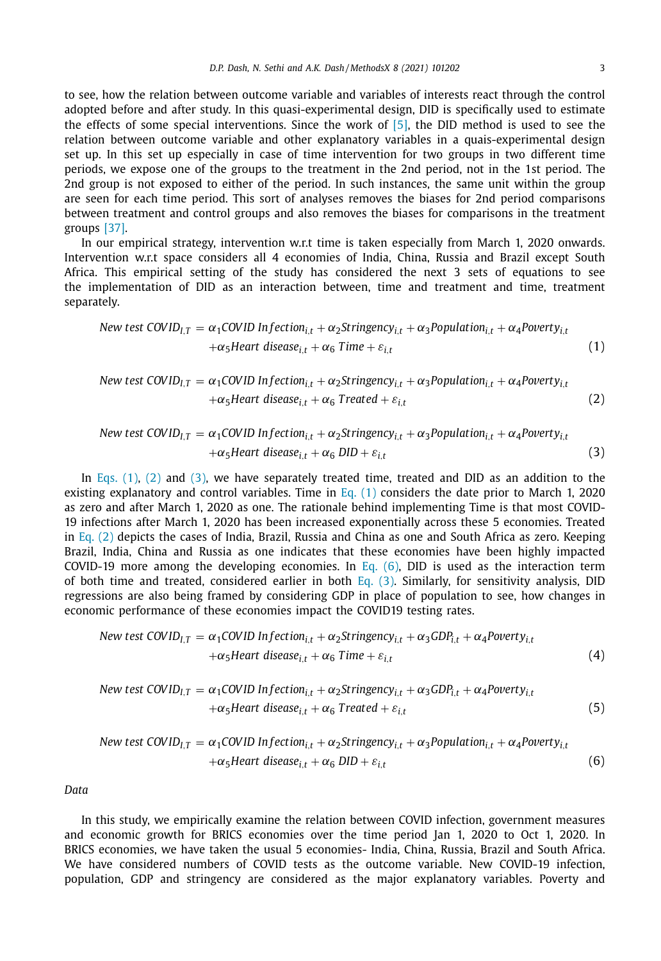to see, how the relation between outcome variable and variables of interests react through the control adopted before and after study. In this quasi-experimental design, DID is specifically used to estimate the effects of some special interventions. Since the work of [5], the DID method is used to see the relation between outcome variable and other explanatory variables in a quais-experimental design set up. In this set up especially in case of time intervention for two groups in two different time periods, we expose one of the groups to the treatment in the 2nd period, not in the 1st period. The 2nd group is not exposed to either of the period. In such instances, the same unit within the group are seen for each time period. This sort of analyses removes the biases for 2nd period comparisons between treatment and control groups and also removes the biases for comparisons in the treatment groups [37].

In our empirical strategy, intervention w.r.t time is taken especially from March 1, 2020 onwards. Intervention w.r.t space considers all 4 economies of India, China, Russia and Brazil except South Africa. This empirical setting of the study has considered the next 3 sets of equations to see the implementation of DID as an interaction between, time and treatment and time, treatment separately.

New test COVID<sub>I,T</sub> = 
$$
\alpha_1
$$
 COVID<sub>I,t</sub> +  $\alpha_2$ Stringency<sub>i,t</sub> +  $\alpha_3$ Population<sub>i,t</sub> +  $\alpha_4$ Powerty<sub>i,t</sub>  
+ $\alpha_5$ Heart disease<sub>i,t</sub> +  $\alpha_6$  Time +  $\varepsilon_{i,t}$  (1)

New test COVID<sub>1,T</sub> = 
$$
\alpha_1
$$
 COVID Infection<sub>i,t</sub> +  $\alpha_2$ Stringency<sub>i,t</sub> +  $\alpha_3$ Population<sub>i,t</sub> +  $\alpha_4$ Powerty<sub>i,t</sub>  
+ $\alpha_5$ Heart disease<sub>i,t</sub> +  $\alpha_6$  Treated +  $\varepsilon_{i,t}$  (2)

New test COVID<sub>1,T</sub> = 
$$
\alpha_1
$$
 COVID<sub>1,t</sub> +  $\alpha_2$ Stringency<sub>i,t</sub> +  $\alpha_3$ Population<sub>i,t</sub> +  $\alpha_4$ Powerty<sub>i,t</sub>  
+ $\alpha_5$ Heart disease<sub>i,t</sub> +  $\alpha_6$  DID +  $\varepsilon_{i,t}$  (3)

In Eqs. (1), (2) and (3), we have separately treated time, treated and DID as an addition to the existing explanatory and control variables. Time in Eq. (1) considers the date prior to March 1, 2020 as zero and after March 1, 2020 as one. The rationale behind implementing Time is that most COVID-19 infections after March 1, 2020 has been increased exponentially across these 5 economies. Treated in Eq. (2) depicts the cases of India, Brazil, Russia and China as one and South Africa as zero. Keeping Brazil, India, China and Russia as one indicates that these economies have been highly impacted COVID-19 more among the developing economies. In Eq.  $(6)$ , DID is used as the interaction term of both time and treated, considered earlier in both Eq. (3). Similarly, for sensitivity analysis, DID regressions are also being framed by considering GDP in place of population to see, how changes in economic performance of these economies impact the COVID19 testing rates.

New test COVID<sub>1,T</sub> = 
$$
\alpha_1
$$
 COVID<sub>1,t</sub> +  $\alpha_2$ Stringency<sub>i,t</sub> +  $\alpha_3$  GDP<sub>i,t</sub> +  $\alpha_4$ Powerty<sub>i,t</sub>  
+ $\alpha_5$ Heart disease<sub>i,t</sub> +  $\alpha_6$  Time +  $\varepsilon_{i,t}$  (4)

New test COVID<sub>1,T</sub> = 
$$
\alpha_1
$$
 COVID Infection<sub>i,t</sub> +  $\alpha_2$ Stringency<sub>i,t</sub> +  $\alpha_3$  GDP<sub>i,t</sub> +  $\alpha_4$ Powerty<sub>i,t</sub>  
+ $\alpha_5$ Heart disease<sub>i,t</sub> +  $\alpha_6$  Treated +  $\varepsilon_{i,t}$  (5)

New test COVID<sub>I,T</sub> = 
$$
\alpha_1
$$
 COVID<sub>I,t</sub> +  $\alpha_2$ Stringency<sub>i,t</sub> +  $\alpha_3$ Population<sub>i,t</sub> +  $\alpha_4$ Powerty<sub>i,t</sub>  
+ $\alpha_5$ Heart disease<sub>i,t</sub> +  $\alpha_6$  DID +  $\varepsilon_{i,t}$  (6)

*Data*

In this study, we empirically examine the relation between COVID infection, government measures and economic growth for BRICS economies over the time period Jan 1, 2020 to Oct 1, 2020. In BRICS economies, we have taken the usual 5 economies- India, China, Russia, Brazil and South Africa. We have considered numbers of COVID tests as the outcome variable. New COVID-19 infection, population, GDP and stringency are considered as the major explanatory variables. Poverty and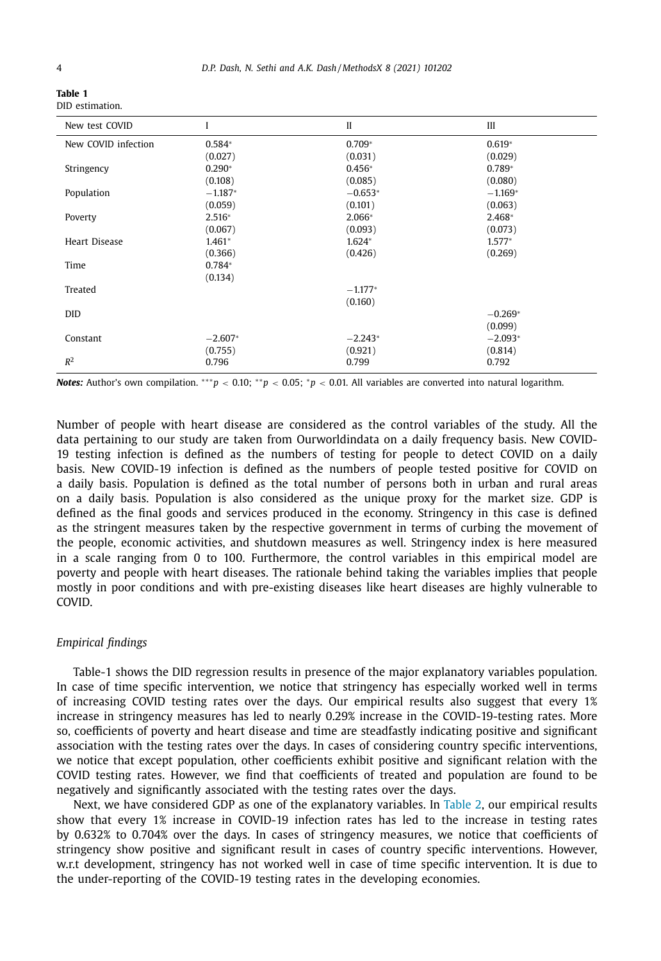**Table 1**

| . |                 |  |
|---|-----------------|--|
|   | DID estimation. |  |

| New test COVID       | I         | $\mathbf{I}$ | III       |
|----------------------|-----------|--------------|-----------|
| New COVID infection  | $0.584*$  | $0.709*$     | $0.619*$  |
|                      | (0.027)   | (0.031)      | (0.029)   |
| Stringency           | $0.290*$  | $0.456*$     | $0.789*$  |
|                      | (0.108)   | (0.085)      | (0.080)   |
| Population           | $-1.187*$ | $-0.653*$    | $-1.169*$ |
|                      | (0.059)   | (0.101)      | (0.063)   |
| Poverty              | $2.516*$  | $2.066*$     | $2.468*$  |
|                      | (0.067)   | (0.093)      | (0.073)   |
| <b>Heart Disease</b> | $1.461*$  | $1.624*$     | $1.577*$  |
|                      | (0.366)   | (0.426)      | (0.269)   |
| Time                 | $0.784*$  |              |           |
|                      | (0.134)   |              |           |
| Treated              |           | $-1.177*$    |           |
|                      |           | (0.160)      |           |
| <b>DID</b>           |           |              | $-0.269*$ |
|                      |           |              | (0.099)   |
| Constant             | $-2.607*$ | $-2.243*$    | $-2.093*$ |
|                      | (0.755)   | (0.921)      | (0.814)   |
| $R^2$                | 0.796     | 0.799        | 0.792     |

*Notes:* Author's own compilation. ∗∗∗*p* < 0.10; ∗ ∗*p* < 0.05; <sup>∗</sup>*p* < 0.01. All variables are converted into natural logarithm.

Number of people with heart disease are considered as the control variables of the study. All the data pertaining to our study are taken from Ourworldindata on a daily frequency basis. New COVID-19 testing infection is defined as the numbers of testing for people to detect COVID on a daily basis. New COVID-19 infection is defined as the numbers of people tested positive for COVID on a daily basis. Population is defined as the total number of persons both in urban and rural areas on a daily basis. Population is also considered as the unique proxy for the market size. GDP is defined as the final goods and services produced in the economy. Stringency in this case is defined as the stringent measures taken by the respective government in terms of curbing the movement of the people, economic activities, and shutdown measures as well. Stringency index is here measured in a scale ranging from 0 to 100. Furthermore, the control variables in this empirical model are poverty and people with heart diseases. The rationale behind taking the variables implies that people mostly in poor conditions and with pre-existing diseases like heart diseases are highly vulnerable to COVID.

#### *Empirical findings*

Table-1 shows the DID regression results in presence of the major explanatory variables population. In case of time specific intervention, we notice that stringency has especially worked well in terms of increasing COVID testing rates over the days. Our empirical results also suggest that every 1% increase in stringency measures has led to nearly 0.29% increase in the COVID-19-testing rates. More so, coefficients of poverty and heart disease and time are steadfastly indicating positive and significant association with the testing rates over the days. In cases of considering country specific interventions, we notice that except population, other coefficients exhibit positive and significant relation with the COVID testing rates. However, we find that coefficients of treated and population are found to be negatively and significantly associated with the testing rates over the days.

Next, we have considered GDP as one of the explanatory variables. In Table 2, our empirical results show that every 1% increase in COVID-19 infection rates has led to the increase in testing rates by 0.632% to 0.704% over the days. In cases of stringency measures, we notice that coefficients of stringency show positive and significant result in cases of country specific interventions. However, w.r.t development, stringency has not worked well in case of time specific intervention. It is due to the under-reporting of the COVID-19 testing rates in the developing economies.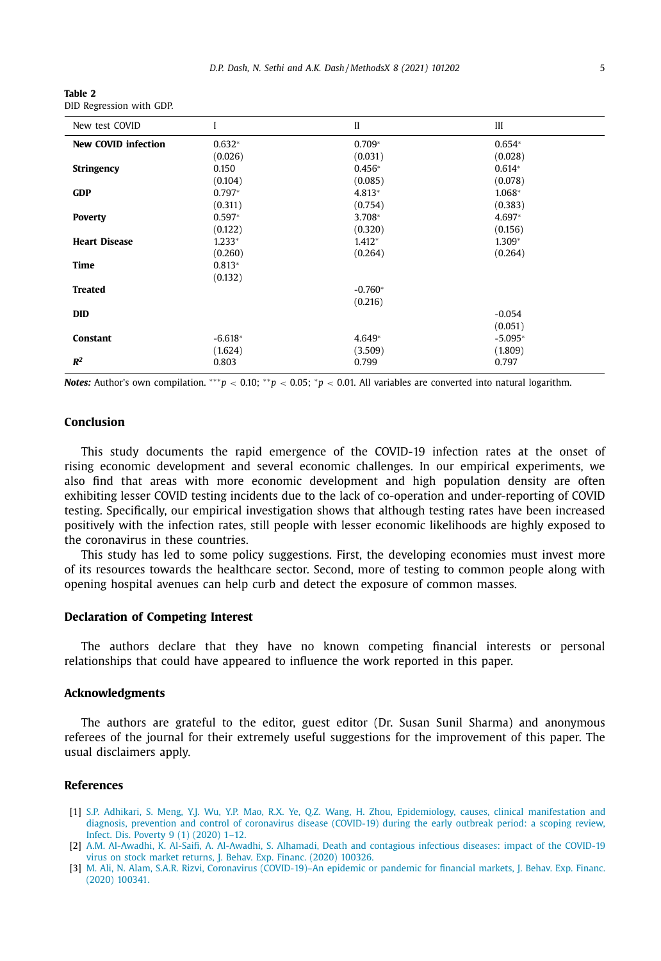| Table 2 |                          |  |
|---------|--------------------------|--|
|         | DID Regression with GDP. |  |

| New test COVID             |           | $\mathbf{I}$ | III       |
|----------------------------|-----------|--------------|-----------|
| <b>New COVID infection</b> | $0.632*$  | $0.709*$     | $0.654*$  |
|                            | (0.026)   | (0.031)      | (0.028)   |
| <b>Stringency</b>          | 0.150     | $0.456*$     | $0.614*$  |
|                            | (0.104)   | (0.085)      | (0.078)   |
| <b>GDP</b>                 | $0.797*$  | 4.813*       | 1.068*    |
|                            | (0.311)   | (0.754)      | (0.383)   |
| <b>Poverty</b>             | $0.597*$  | 3.708*       | 4.697*    |
|                            | (0.122)   | (0.320)      | (0.156)   |
| <b>Heart Disease</b>       | $1.233*$  | $1.412*$     | 1.309*    |
|                            | (0.260)   | (0.264)      | (0.264)   |
| Time                       | $0.813*$  |              |           |
|                            | (0.132)   |              |           |
| <b>Treated</b>             |           | $-0.760*$    |           |
|                            |           | (0.216)      |           |
| <b>DID</b>                 |           |              | $-0.054$  |
|                            |           |              | (0.051)   |
| Constant                   | $-6.618*$ | $4.649*$     | $-5.095*$ |
|                            | (1.624)   | (3.509)      | (1.809)   |
| $R^2$                      | 0.803     | 0.799        | 0.797     |

*Notes:* Author's own compilation. ∗∗∗*p* < 0.10; ∗ ∗*p* < 0.05; <sup>∗</sup>*p* < 0.01. All variables are converted into natural logarithm.

#### **Conclusion**

This study documents the rapid emergence of the COVID-19 infection rates at the onset of rising economic development and several economic challenges. In our empirical experiments, we also find that areas with more economic development and high population density are often exhibiting lesser COVID testing incidents due to the lack of co-operation and under-reporting of COVID testing. Specifically, our empirical investigation shows that although testing rates have been increased positively with the infection rates, still people with lesser economic likelihoods are highly exposed to the coronavirus in these countries.

This study has led to some policy suggestions. First, the developing economies must invest more of its resources towards the healthcare sector. Second, more of testing to common people along with opening hospital avenues can help curb and detect the exposure of common masses.

#### **Declaration of Competing Interest**

The authors declare that they have no known competing financial interests or personal relationships that could have appeared to influence the work reported in this paper.

#### **Acknowledgments**

The authors are grateful to the editor, guest editor (Dr. Susan Sunil Sharma) and anonymous referees of the journal for their extremely useful suggestions for the improvement of this paper. The usual disclaimers apply.

#### **References**

- [1] S.P. Adhikari, S. Meng, Y.J. Wu, Y.P. Mao, R.X. Ye, Q.Z. Wang, H. Zhou, Epidemiology, causes, clinical manifestation and diagnosis, prevention and control of coronavirus disease (COVID-19) during the early outbreak period: a scoping review, Infect. Dis. Poverty 9 (1) (2020) 1–12.
- [2] A.M. Al-Awadhi, K. Al-Saifi, A. Al-Awadhi, S. Alhamadi, Death and contagious infectious diseases: impact of the COVID-19 virus on stock market returns, J. Behav. Exp. Financ. (2020) 100326.
- [3] M. Ali, N. Alam, S.A.R. Rizvi, Coronavirus (COVID-19)–An epidemic or pandemic for financial markets, J. Behav. Exp. Financ. (2020) 100341.